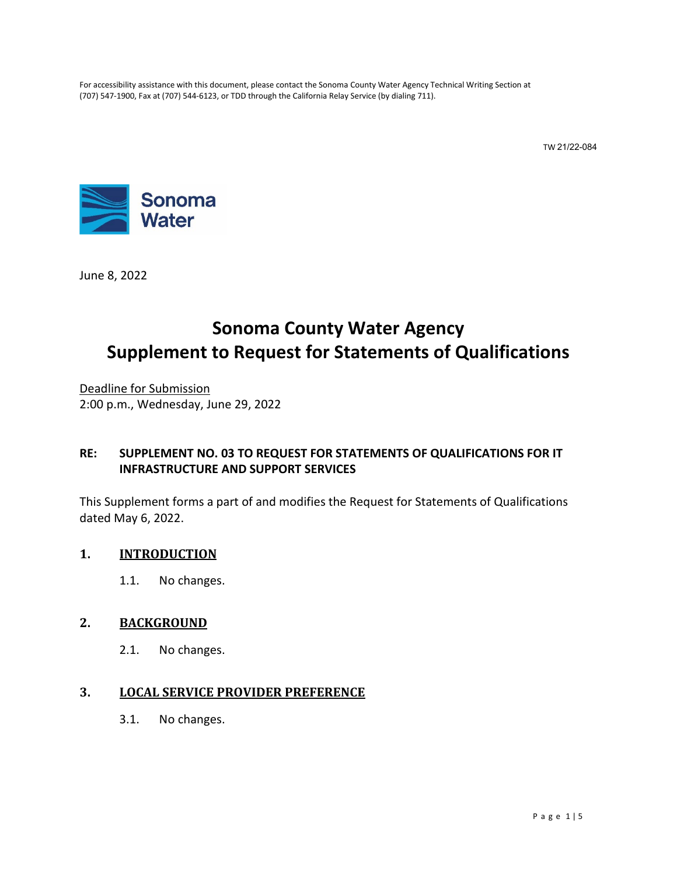For accessibility assistance with this document, please contact the Sonoma County Water Agency Technical Writing Section at (707) 547-1900, Fax at (707) 544-6123, or TDD through the California Relay Service (by dialing 711).

TW 21/22-084



June 8, 2022

# **Sonoma County Water Agency Supplement to Request for Statements of Qualifications**

Deadline for Submission 2:00 p.m., Wednesday, June 29, 2022

# **RE: SUPPLEMENT NO. 03 TO REQUEST FOR STATEMENTS OF QUALIFICATIONS FOR IT INFRASTRUCTURE AND SUPPORT SERVICES**

This Supplement forms a part of and modifies the Request for Statements of Qualifications dated May 6, 2022.

# **1. INTRODUCTION**

1.1. No changes.

## **2. BACKGROUND**

2.1. No changes.

## **3. LOCAL SERVICE PROVIDER PREFERENCE**

3.1. No changes.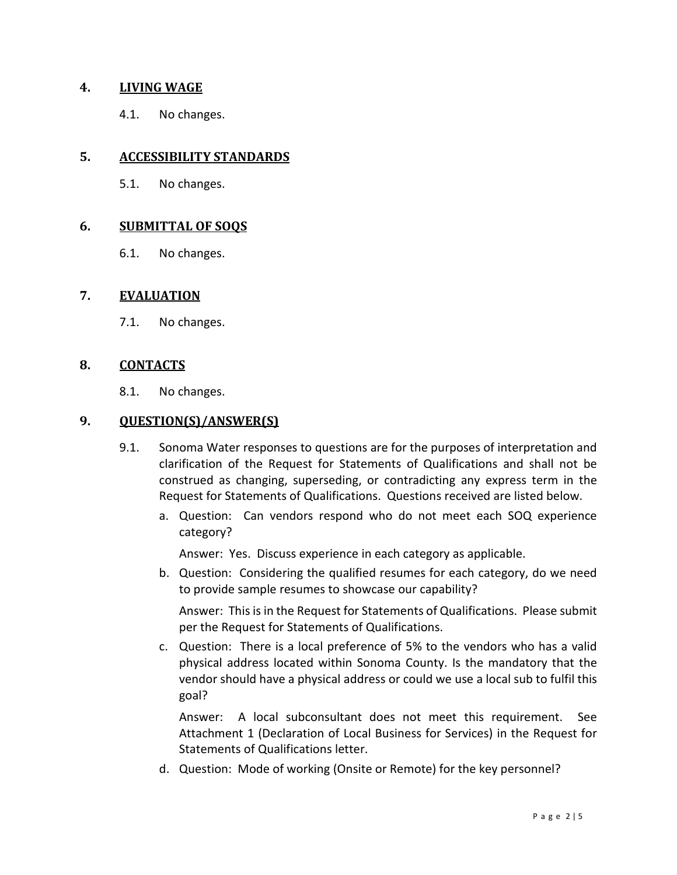## **4. LIVING WAGE**

4.1. No changes.

## **5. ACCESSIBILITY STANDARDS**

5.1. No changes.

#### **6. SUBMITTAL OF SOQS**

6.1. No changes.

#### **7. EVALUATION**

7.1. No changes.

## **8. CONTACTS**

8.1. No changes.

# **9. QUESTION(S)/ANSWER(S)**

- 9.1. Sonoma Water responses to questions are for the purposes of interpretation and clarification of the Request for Statements of Qualifications and shall not be construed as changing, superseding, or contradicting any express term in the Request for Statements of Qualifications. Questions received are listed below.
	- a. Question: Can vendors respond who do not meet each SOQ experience category?

Answer: Yes. Discuss experience in each category as applicable.

b. Question: Considering the qualified resumes for each category, do we need to provide sample resumes to showcase our capability?

Answer: This is in the Request for Statements of Qualifications. Please submit per the Request for Statements of Qualifications.

c. Question: There is a local preference of 5% to the vendors who has a valid physical address located within Sonoma County. Is the mandatory that the vendor should have a physical address or could we use a local sub to fulfil this goal?

Answer: A local subconsultant does not meet this requirement. See Attachment 1 (Declaration of Local Business for Services) in the Request for Statements of Qualifications letter.

d. Question: Mode of working (Onsite or Remote) for the key personnel?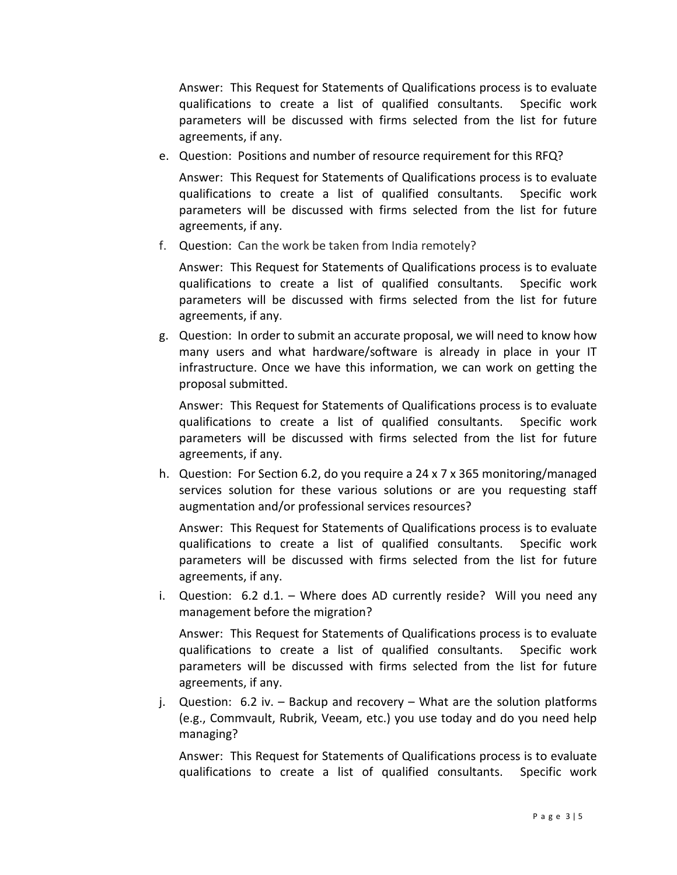Answer: This Request for Statements of Qualifications process is to evaluate qualifications to create a list of qualified consultants. Specific work parameters will be discussed with firms selected from the list for future agreements, if any.

e. Question: Positions and number of resource requirement for this RFQ?

Answer: This Request for Statements of Qualifications process is to evaluate qualifications to create a list of qualified consultants. Specific work parameters will be discussed with firms selected from the list for future agreements, if any.

f. Question: Can the work be taken from India remotely?

Answer: This Request for Statements of Qualifications process is to evaluate qualifications to create a list of qualified consultants. Specific work parameters will be discussed with firms selected from the list for future agreements, if any.

g. Question: In order to submit an accurate proposal, we will need to know how many users and what hardware/software is already in place in your IT infrastructure. Once we have this information, we can work on getting the proposal submitted.

Answer: This Request for Statements of Qualifications process is to evaluate qualifications to create a list of qualified consultants. Specific work parameters will be discussed with firms selected from the list for future agreements, if any.

h. Question: For Section 6.2, do you require a 24 x 7 x 365 monitoring/managed services solution for these various solutions or are you requesting staff augmentation and/or professional services resources?

Answer: This Request for Statements of Qualifications process is to evaluate qualifications to create a list of qualified consultants. Specific work parameters will be discussed with firms selected from the list for future agreements, if any.

i. Question: 6.2 d.1. – Where does AD currently reside? Will you need any management before the migration?

Answer: This Request for Statements of Qualifications process is to evaluate qualifications to create a list of qualified consultants. Specific work parameters will be discussed with firms selected from the list for future agreements, if any.

j. Question: 6.2 iv. – Backup and recovery – What are the solution platforms (e.g., Commvault, Rubrik, Veeam, etc.) you use today and do you need help managing?

Answer: This Request for Statements of Qualifications process is to evaluate qualifications to create a list of qualified consultants. Specific work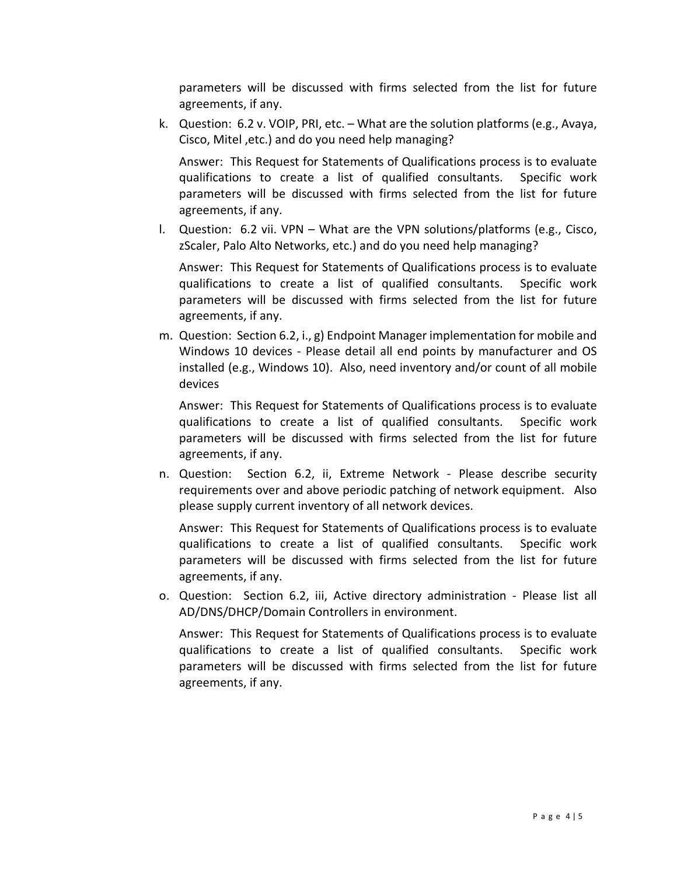parameters will be discussed with firms selected from the list for future agreements, if any.

k. Question: 6.2 v. VOIP, PRI, etc. – What are the solution platforms (e.g., Avaya, Cisco, Mitel ,etc.) and do you need help managing?

Answer: This Request for Statements of Qualifications process is to evaluate qualifications to create a list of qualified consultants. Specific work parameters will be discussed with firms selected from the list for future agreements, if any.

l. Question: 6.2 vii. VPN – What are the VPN solutions/platforms (e.g., Cisco, zScaler, Palo Alto Networks, etc.) and do you need help managing?

Answer: This Request for Statements of Qualifications process is to evaluate qualifications to create a list of qualified consultants. Specific work parameters will be discussed with firms selected from the list for future agreements, if any.

m. Question: Section 6.2, i., g) Endpoint Manager implementation for mobile and Windows 10 devices - Please detail all end points by manufacturer and OS installed (e.g., Windows 10). Also, need inventory and/or count of all mobile devices

Answer: This Request for Statements of Qualifications process is to evaluate qualifications to create a list of qualified consultants. Specific work parameters will be discussed with firms selected from the list for future agreements, if any.

n. Question: Section 6.2, ii, Extreme Network - Please describe security requirements over and above periodic patching of network equipment. Also please supply current inventory of all network devices.

Answer: This Request for Statements of Qualifications process is to evaluate qualifications to create a list of qualified consultants. Specific work parameters will be discussed with firms selected from the list for future agreements, if any.

o. Question: Section 6.2, iii, Active directory administration - Please list all AD/DNS/DHCP/Domain Controllers in environment.

Answer: This Request for Statements of Qualifications process is to evaluate qualifications to create a list of qualified consultants. Specific work parameters will be discussed with firms selected from the list for future agreements, if any.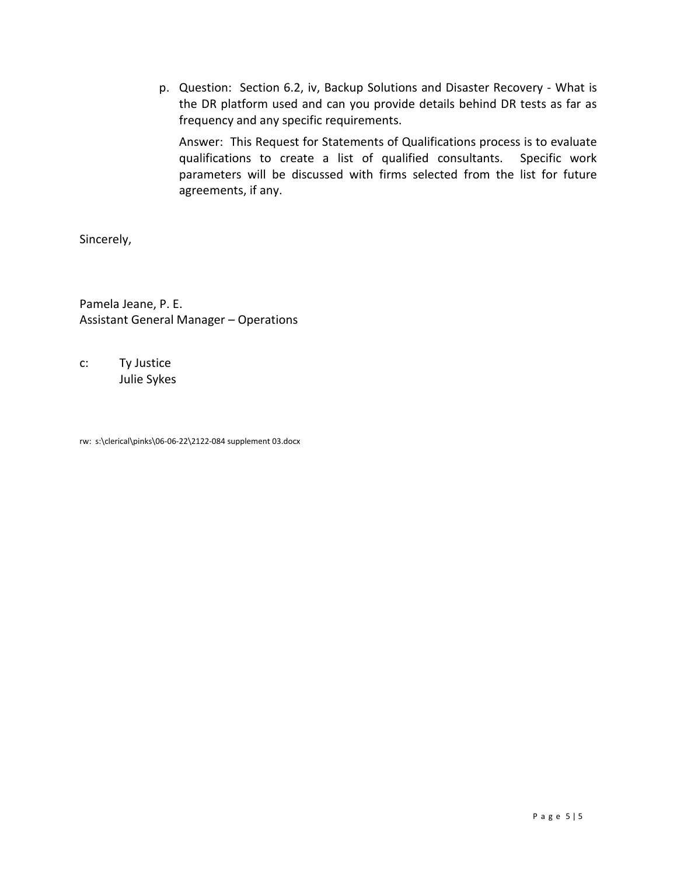p. Question: Section 6.2, iv, Backup Solutions and Disaster Recovery - What is the DR platform used and can you provide details behind DR tests as far as frequency and any specific requirements.

Answer: This Request for Statements of Qualifications process is to evaluate qualifications to create a list of qualified consultants. Specific work parameters will be discussed with firms selected from the list for future agreements, if any.

Sincerely,

Pamela Jeane, P. E. Assistant General Manager – Operations

c: Ty Justice Julie Sykes

rw: s:\clerical\pinks\06-06-22\2122-084 supplement 03.docx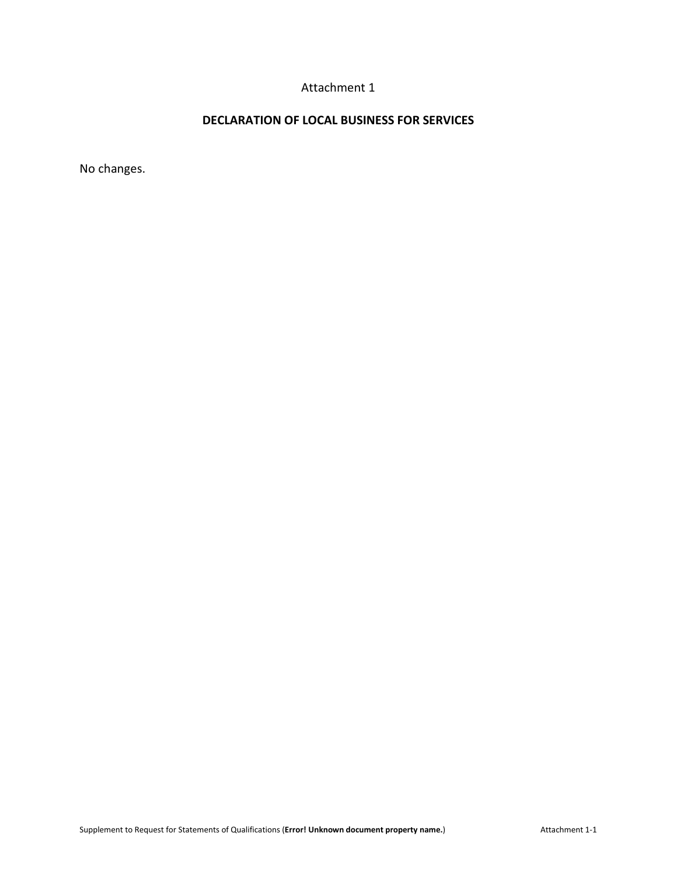# Attachment 1

# **DECLARATION OF LOCAL BUSINESS FOR SERVICES**

No changes.